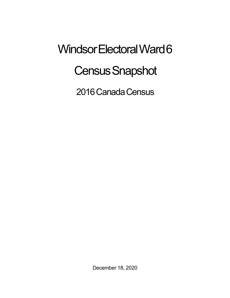## Windsor Electoral Ward 6 **Census Snapshot**

2016 Canada Census

December 18, 2020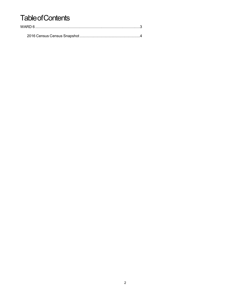## **Table of Contents**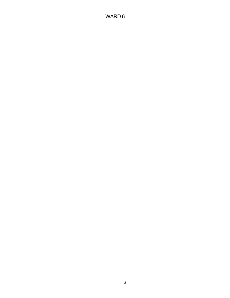## WARD 6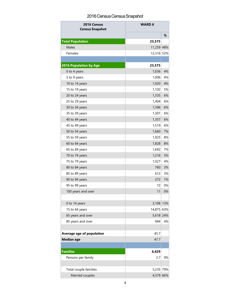## 2016 Census Census Snapshot

| 2016 Census<br><b>Census Snapshot</b> | <b>WARD 6</b> |    |
|---------------------------------------|---------------|----|
|                                       |               | %  |
| <b>Total Population</b>               | 23,575        |    |
| Males                                 | 11,259 48%    |    |
| Females                               | 12,316 52%    |    |
|                                       |               |    |
| <b>2016 Population by Age</b>         | 23,575        |    |
| 0 to 4 years                          | 1,036         | 4% |
| 5 to 9 years                          | 1,006         | 4% |
| 10 to 14 years                        | 1,020         | 4% |
| 15 to 19 years                        | 1,102         | 5% |
| 20 to 24 years                        | 1,335         | 6% |
| 25 to 29 years                        | 1,404         | 6% |
| 30 to 34 years                        | 1,396         | 6% |
| 35 to 39 years                        | 1,301         | 6% |
| 40 to 44 years                        | 1,357         | 6% |
| 45 to 49 years                        | 1,519         | 6% |
| 50 to 54 years                        | 1,660         | 7% |
| 55 to 59 years                        | 1,925         | 8% |
| 60 to 64 years                        | 1,828         | 8% |
| 65 to 69 years                        | 1,692         | 7% |
| 70 to 74 years                        | 1,216         | 5% |
| 75 to 79 years                        | 1,027         | 4% |
| 80 to 84 years                        | 760           | 3% |
| 85 to 89 years                        | 612           | 3% |
| 90 to 94 years                        | 272           | 1% |
| 95 to 99 years                        | 72            | 0% |
| 100 years and over                    | 11            | 0% |
|                                       |               |    |
| 0 to 14 years                         | 3,108 13%     |    |
| 15 to 64 years                        | 14,875 63%    |    |
| 65 years and over                     | 5,618 24%     |    |
| 85 years and over                     | 944           | 4% |
|                                       |               |    |
| Average age of population             | 45.7          |    |
| <b>Median age</b>                     | 47.7          |    |
|                                       |               |    |
| <b>Families</b>                       | 6,629         |    |
| Persons per family                    | 2.7           | 0% |
| Total couple families                 | 5,235 79%     |    |
| Married couples                       | 4,379 66%     |    |